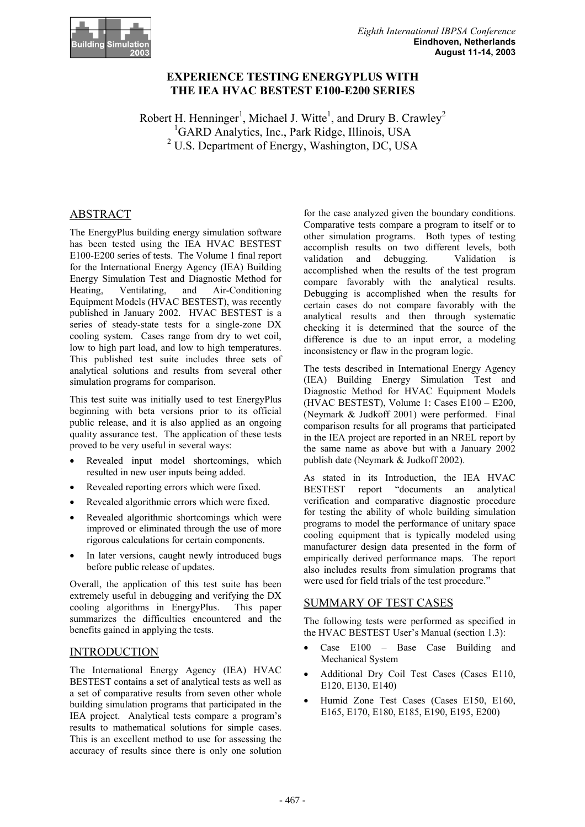

# **EXPERIENCE TESTING ENERGYPLUS WITH THE IEA HVAC BESTEST E100-E200 SERIES**

Robert H. Henninger<sup>1</sup>, Michael J. Witte<sup>1</sup>, and Drury B. Crawley<sup>2</sup> <sup>1</sup>GARD Analytics, Inc., Park Ridge, Illinois, USA <sup>2</sup> U.S. Department of Energy, Washington, DC, USA

# ABSTRACT

The EnergyPlus building energy simulation software has been tested using the IEA HVAC BESTEST E100-E200 series of tests. The Volume 1 final report for the International Energy Agency (IEA) Building Energy Simulation Test and Diagnostic Method for Heating, Ventilating, and Air-Conditioning Equipment Models (HVAC BESTEST), was recently published in January 2002. HVAC BESTEST is a series of steady-state tests for a single-zone DX cooling system. Cases range from dry to wet coil, low to high part load, and low to high temperatures. This published test suite includes three sets of analytical solutions and results from several other simulation programs for comparison.

This test suite was initially used to test EnergyPlus beginning with beta versions prior to its official public release, and it is also applied as an ongoing quality assurance test. The application of these tests proved to be very useful in several ways:

- Revealed input model shortcomings, which resulted in new user inputs being added.
- Revealed reporting errors which were fixed.
- Revealed algorithmic errors which were fixed.
- Revealed algorithmic shortcomings which were improved or eliminated through the use of more rigorous calculations for certain components.
- In later versions, caught newly introduced bugs before public release of updates.

Overall, the application of this test suite has been extremely useful in debugging and verifying the DX cooling algorithms in EnergyPlus. This paper summarizes the difficulties encountered and the benefits gained in applying the tests.

## INTRODUCTION

The International Energy Agency (IEA) HVAC BESTEST contains a set of analytical tests as well as a set of comparative results from seven other whole building simulation programs that participated in the IEA project. Analytical tests compare a program's results to mathematical solutions for simple cases. This is an excellent method to use for assessing the accuracy of results since there is only one solution

for the case analyzed given the boundary conditions. Comparative tests compare a program to itself or to other simulation programs. Both types of testing accomplish results on two different levels, both validation and debugging. Validation is accomplished when the results of the test program compare favorably with the analytical results. Debugging is accomplished when the results for certain cases do not compare favorably with the analytical results and then through systematic checking it is determined that the source of the difference is due to an input error, a modeling inconsistency or flaw in the program logic.

The tests described in International Energy Agency (IEA) Building Energy Simulation Test and Diagnostic Method for HVAC Equipment Models (HVAC BESTEST), Volume 1: Cases E100 – E200, (Neymark & Judkoff 2001) were performed. Final comparison results for all programs that participated in the IEA project are reported in an NREL report by the same name as above but with a January 2002 publish date (Neymark & Judkoff 2002).

As stated in its Introduction, the IEA HVAC BESTEST report "documents an analytical verification and comparative diagnostic procedure for testing the ability of whole building simulation programs to model the performance of unitary space cooling equipment that is typically modeled using manufacturer design data presented in the form of empirically derived performance maps. The report also includes results from simulation programs that were used for field trials of the test procedure."

## SUMMARY OF TEST CASES

The following tests were performed as specified in the HVAC BESTEST User's Manual (section 1.3):

- Case E100 Base Case Building and Mechanical System
- Additional Dry Coil Test Cases (Cases E110, E120, E130, E140)
- Humid Zone Test Cases (Cases E150, E160, E165, E170, E180, E185, E190, E195, E200)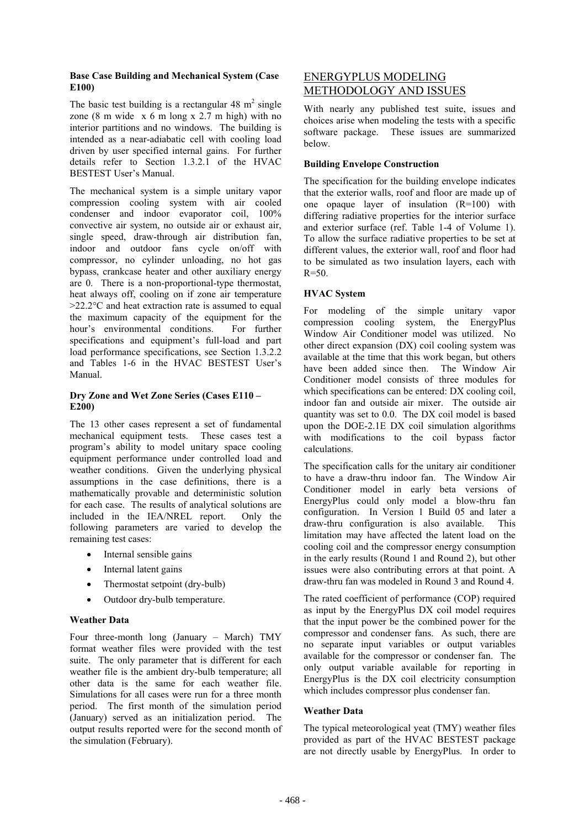#### **Base Case Building and Mechanical System (Case E100)**

The basic test building is a rectangular  $48 \text{ m}^2$  single zone  $(8 \text{ m wide } x 6 \text{ m long } x 2.7 \text{ m high})$  with no interior partitions and no windows. The building is intended as a near-adiabatic cell with cooling load driven by user specified internal gains. For further details refer to Section 1.3.2.1 of the HVAC BESTEST User's Manual.

The mechanical system is a simple unitary vapor compression cooling system with air cooled condenser and indoor evaporator coil, 100% convective air system, no outside air or exhaust air, single speed, draw-through air distribution fan, indoor and outdoor fans cycle on/off with compressor, no cylinder unloading, no hot gas bypass, crankcase heater and other auxiliary energy are 0. There is a non-proportional-type thermostat, heat always off, cooling on if zone air temperature  $>22.2$ °C and heat extraction rate is assumed to equal the maximum capacity of the equipment for the hour's environmental conditions. For further specifications and equipment's full-load and part load performance specifications, see Section 1.3.2.2 and Tables 1-6 in the HVAC BESTEST User's Manual.

## **Dry Zone and Wet Zone Series (Cases E110 – E200)**

The 13 other cases represent a set of fundamental mechanical equipment tests. These cases test a program's ability to model unitary space cooling equipment performance under controlled load and weather conditions. Given the underlying physical assumptions in the case definitions, there is a mathematically provable and deterministic solution for each case. The results of analytical solutions are included in the IEA/NREL report. Only the following parameters are varied to develop the remaining test cases:

- Internal sensible gains
- Internal latent gains
- Thermostat setpoint (dry-bulb)
- Outdoor dry-bulb temperature.

## **Weather Data**

Four three-month long (January – March) TMY format weather files were provided with the test suite. The only parameter that is different for each weather file is the ambient dry-bulb temperature; all other data is the same for each weather file. Simulations for all cases were run for a three month period. The first month of the simulation period (January) served as an initialization period. The output results reported were for the second month of the simulation (February).

# ENERGYPLUS MODELING METHODOLOGY AND ISSUES

With nearly any published test suite, issues and choices arise when modeling the tests with a specific software package. These issues are summarized below.

### **Building Envelope Construction**

The specification for the building envelope indicates that the exterior walls, roof and floor are made up of one opaque layer of insulation (R=100) with differing radiative properties for the interior surface and exterior surface (ref. Table 1-4 of Volume 1). To allow the surface radiative properties to be set at different values, the exterior wall, roof and floor had to be simulated as two insulation layers, each with  $R=50$ 

## **HVAC System**

For modeling of the simple unitary vapor compression cooling system, the EnergyPlus Window Air Conditioner model was utilized. No other direct expansion (DX) coil cooling system was available at the time that this work began, but others have been added since then. The Window Air Conditioner model consists of three modules for which specifications can be entered: DX cooling coil, indoor fan and outside air mixer. The outside air quantity was set to 0.0. The DX coil model is based upon the DOE-2.1E DX coil simulation algorithms with modifications to the coil bypass factor calculations.

The specification calls for the unitary air conditioner to have a draw-thru indoor fan. The Window Air Conditioner model in early beta versions of EnergyPlus could only model a blow-thru fan configuration. In Version 1 Build 05 and later a draw-thru configuration is also available. This limitation may have affected the latent load on the cooling coil and the compressor energy consumption in the early results (Round 1 and Round 2), but other issues were also contributing errors at that point. A draw-thru fan was modeled in Round 3 and Round 4.

The rated coefficient of performance (COP) required as input by the EnergyPlus DX coil model requires that the input power be the combined power for the compressor and condenser fans. As such, there are no separate input variables or output variables available for the compressor or condenser fan. The only output variable available for reporting in EnergyPlus is the DX coil electricity consumption which includes compressor plus condenser fan.

#### **Weather Data**

The typical meteorological yeat (TMY) weather files provided as part of the HVAC BESTEST package are not directly usable by EnergyPlus. In order to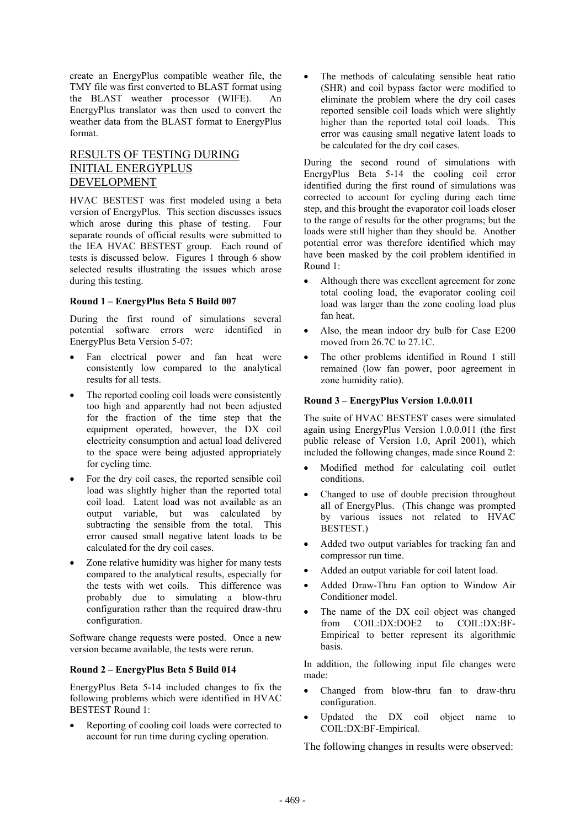create an EnergyPlus compatible weather file, the TMY file was first converted to BLAST format using the BLAST weather processor (WIFE). An EnergyPlus translator was then used to convert the weather data from the BLAST format to EnergyPlus format.

# RESULTS OF TESTING DURING INITIAL ENERGYPLUS DEVELOPMENT

HVAC BESTEST was first modeled using a beta version of EnergyPlus. This section discusses issues which arose during this phase of testing. Four separate rounds of official results were submitted to the IEA HVAC BESTEST group. Each round of tests is discussed below. Figures 1 through 6 show selected results illustrating the issues which arose during this testing.

#### **Round 1 – EnergyPlus Beta 5 Build 007**

During the first round of simulations several potential software errors were identified in EnergyPlus Beta Version 5-07:

- Fan electrical power and fan heat were consistently low compared to the analytical results for all tests.
- The reported cooling coil loads were consistently too high and apparently had not been adjusted for the fraction of the time step that the equipment operated, however, the DX coil electricity consumption and actual load delivered to the space were being adjusted appropriately for cycling time.
- For the dry coil cases, the reported sensible coil load was slightly higher than the reported total coil load. Latent load was not available as an output variable, but was calculated by subtracting the sensible from the total. This error caused small negative latent loads to be calculated for the dry coil cases.
- Zone relative humidity was higher for many tests compared to the analytical results, especially for the tests with wet coils. This difference was probably due to simulating a blow-thru configuration rather than the required draw-thru configuration.

Software change requests were posted. Once a new version became available, the tests were rerun.

## **Round 2 – EnergyPlus Beta 5 Build 014**

EnergyPlus Beta 5-14 included changes to fix the following problems which were identified in HVAC BESTEST Round 1:

• Reporting of cooling coil loads were corrected to account for run time during cycling operation.

The methods of calculating sensible heat ratio (SHR) and coil bypass factor were modified to eliminate the problem where the dry coil cases reported sensible coil loads which were slightly higher than the reported total coil loads. This error was causing small negative latent loads to be calculated for the dry coil cases.

During the second round of simulations with EnergyPlus Beta 5-14 the cooling coil error identified during the first round of simulations was corrected to account for cycling during each time step, and this brought the evaporator coil loads closer to the range of results for the other programs; but the loads were still higher than they should be. Another potential error was therefore identified which may have been masked by the coil problem identified in Round 1:

- Although there was excellent agreement for zone total cooling load, the evaporator cooling coil load was larger than the zone cooling load plus fan heat.
- Also, the mean indoor dry bulb for Case E200 moved from 26.7C to 27.1C.
- The other problems identified in Round 1 still remained (low fan power, poor agreement in zone humidity ratio).

### **Round 3 – EnergyPlus Version 1.0.0.011**

The suite of HVAC BESTEST cases were simulated again using EnergyPlus Version 1.0.0.011 (the first public release of Version 1.0, April 2001), which included the following changes, made since Round 2:

- Modified method for calculating coil outlet conditions.
- Changed to use of double precision throughout all of EnergyPlus. (This change was prompted by various issues not related to HVAC BESTEST.)
- Added two output variables for tracking fan and compressor run time.
- Added an output variable for coil latent load.
- Added Draw-Thru Fan option to Window Air Conditioner model.
- The name of the DX coil object was changed from COIL:DX:DOE2 to COIL:DX:BF-Empirical to better represent its algorithmic basis.

In addition, the following input file changes were made:

- Changed from blow-thru fan to draw-thru configuration.
- Updated the DX coil object name to COIL:DX:BF-Empirical.

The following changes in results were observed: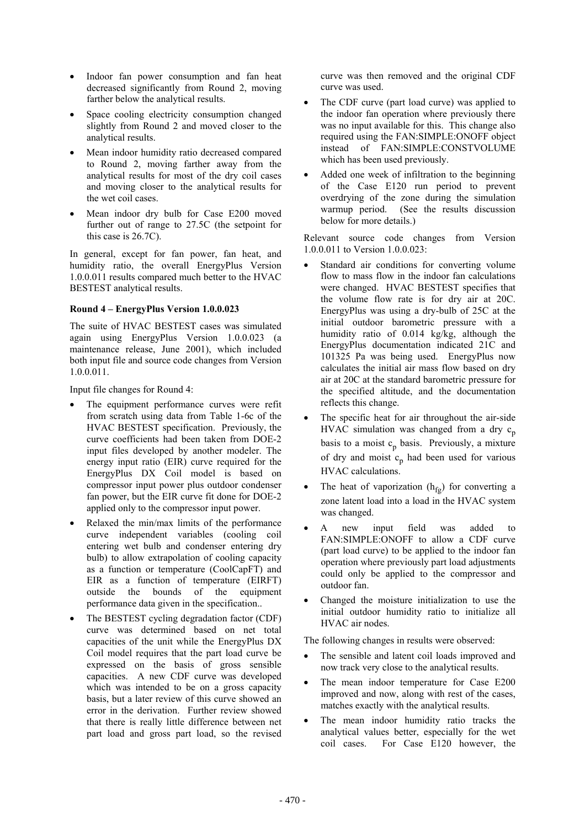- Indoor fan power consumption and fan heat decreased significantly from Round 2, moving farther below the analytical results.
- Space cooling electricity consumption changed slightly from Round 2 and moved closer to the analytical results.
- Mean indoor humidity ratio decreased compared to Round 2, moving farther away from the analytical results for most of the dry coil cases and moving closer to the analytical results for the wet coil cases.
- Mean indoor dry bulb for Case E200 moved further out of range to 27.5C (the setpoint for this case is 26.7C).

In general, except for fan power, fan heat, and humidity ratio, the overall EnergyPlus Version 1.0.0.011 results compared much better to the HVAC BESTEST analytical results.

#### **Round 4 – EnergyPlus Version 1.0.0.023**

The suite of HVAC BESTEST cases was simulated again using EnergyPlus Version 1.0.0.023 (a maintenance release, June 2001), which included both input file and source code changes from Version 1.0.0.011.

Input file changes for Round 4:

- The equipment performance curves were refit from scratch using data from Table 1-6c of the HVAC BESTEST specification. Previously, the curve coefficients had been taken from DOE-2 input files developed by another modeler. The energy input ratio (EIR) curve required for the EnergyPlus DX Coil model is based on compressor input power plus outdoor condenser fan power, but the EIR curve fit done for DOE-2 applied only to the compressor input power.
- Relaxed the min/max limits of the performance curve independent variables (cooling coil entering wet bulb and condenser entering dry bulb) to allow extrapolation of cooling capacity as a function or temperature (CoolCapFT) and EIR as a function of temperature (EIRFT) outside the bounds of the equipment performance data given in the specification..
- The BESTEST cycling degradation factor (CDF) curve was determined based on net total capacities of the unit while the EnergyPlus DX Coil model requires that the part load curve be expressed on the basis of gross sensible capacities. A new CDF curve was developed which was intended to be on a gross capacity basis, but a later review of this curve showed an error in the derivation. Further review showed that there is really little difference between net part load and gross part load, so the revised

curve was then removed and the original CDF curve was used.

- The CDF curve (part load curve) was applied to the indoor fan operation where previously there was no input available for this. This change also required using the FAN:SIMPLE:ONOFF object instead of FAN:SIMPLE:CONSTVOLUME which has been used previously.
- Added one week of infiltration to the beginning of the Case E120 run period to prevent overdrying of the zone during the simulation warmup period. (See the results discussion below for more details.)

Relevant source code changes from Version 1.0.0.011 to Version 1.0.0.023:

- Standard air conditions for converting volume flow to mass flow in the indoor fan calculations were changed. HVAC BESTEST specifies that the volume flow rate is for dry air at 20C. EnergyPlus was using a dry-bulb of 25C at the initial outdoor barometric pressure with a humidity ratio of 0.014 kg/kg, although the EnergyPlus documentation indicated 21C and 101325 Pa was being used. EnergyPlus now calculates the initial air mass flow based on dry air at 20C at the standard barometric pressure for the specified altitude, and the documentation reflects this change.
- The specific heat for air throughout the air-side HVAC simulation was changed from a dry  $c_p$ basis to a moist  $c_p$  basis. Previously, a mixture of dry and moist  $c_p$  had been used for various HVAC calculations.
- The heat of vaporization  $(h_{fg})$  for converting a zone latent load into a load in the HVAC system was changed.
- A new input field was added to FAN:SIMPLE:ONOFF to allow a CDF curve (part load curve) to be applied to the indoor fan operation where previously part load adjustments could only be applied to the compressor and outdoor fan.
- Changed the moisture initialization to use the initial outdoor humidity ratio to initialize all HVAC air nodes.

The following changes in results were observed:

- The sensible and latent coil loads improved and now track very close to the analytical results.
- The mean indoor temperature for Case E200 improved and now, along with rest of the cases, matches exactly with the analytical results.
- The mean indoor humidity ratio tracks the analytical values better, especially for the wet coil cases. For Case E120 however, the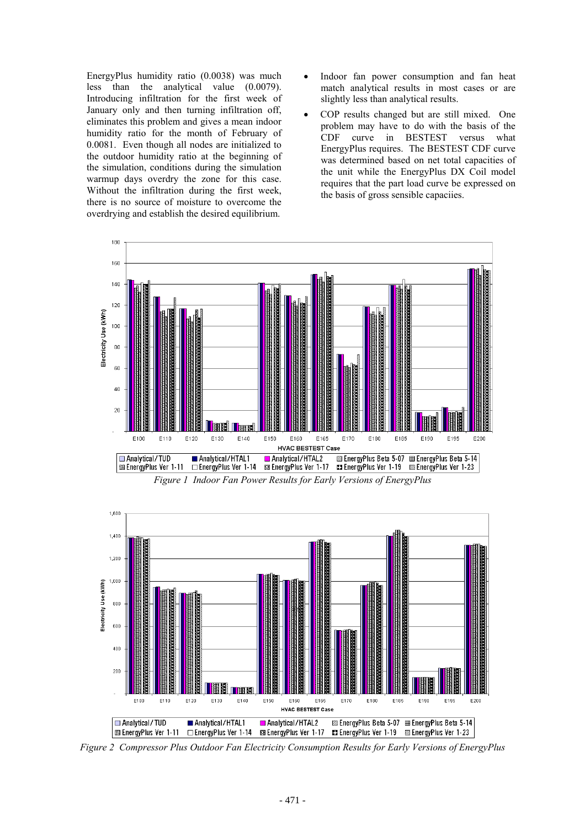EnergyPlus humidity ratio (0.0038) was much less than the analytical value (0.0079). Introducing infiltration for the first week of January only and then turning infiltration off, eliminates this problem and gives a mean indoor humidity ratio for the month of February of 0.0081. Even though all nodes are initialized to the outdoor humidity ratio at the beginning of the simulation, conditions during the simulation warmup days overdry the zone for this case. Without the infiltration during the first week, there is no source of moisture to overcome the overdrying and establish the desired equilibrium.

- Indoor fan power consumption and fan heat match analytical results in most cases or are slightly less than analytical results.
- COP results changed but are still mixed. One problem may have to do with the basis of the CDF curve in BESTEST versus what EnergyPlus requires. The BESTEST CDF curve was determined based on net total capacities of the unit while the EnergyPlus DX Coil model requires that the part load curve be expressed on the basis of gross sensible capaciies.



*Figure 1 Indoor Fan Power Results for Early Versions of EnergyPlus* 



*Figure 2 Compressor Plus Outdoor Fan Electricity Consumption Results for Early Versions of EnergyPlus*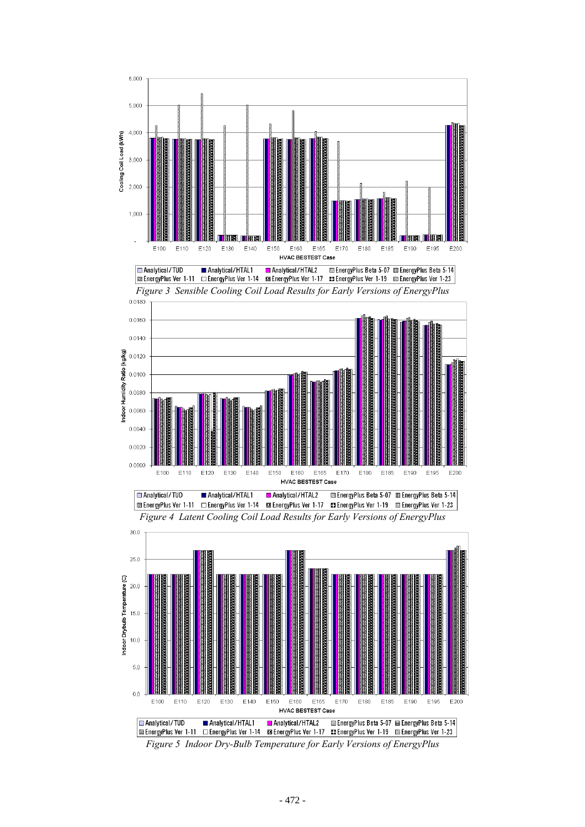







*Figure 5 Indoor Dry-Bulb Temperature for Early Versions of EnergyPlus*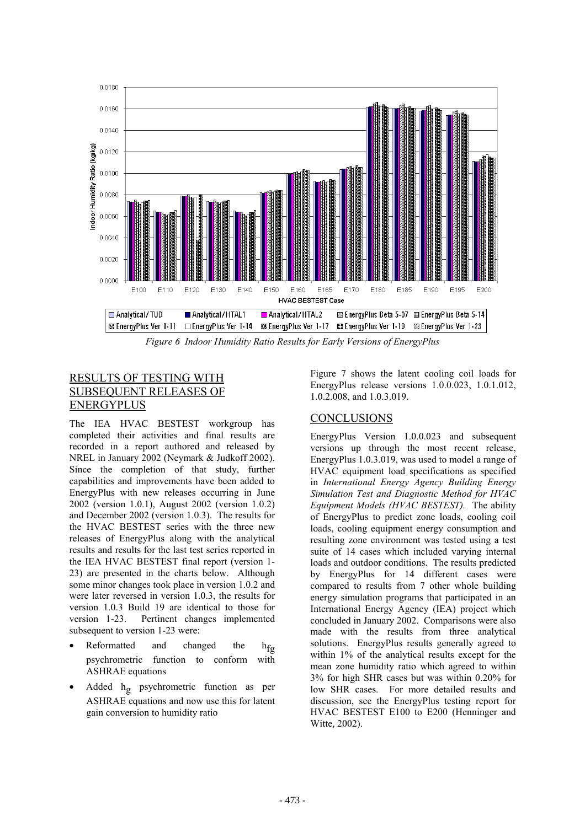

*Figure 6 Indoor Humidity Ratio Results for Early Versions of EnergyPlus* 

# RESULTS OF TESTING WI SUBSEQUENT RELEASES OF ENERGYPLUS

The IEA HVAC BESTEST workgroup has completed their activities and final results are recorded in a report authored and released by NREL in January 2002 (Neymark & Judkoff 2002). Since the completion of that study, further capabilities and improvements have been added to EnergyPlus with new releases occurring in June 2002 (version 1.0.1), August 2002 (version 1.0.2) and December 2002 (version 1.0.3). The results for the HVAC BESTEST series with the three new releases of EnergyPlus along with the analytical results and results for the last test series reported in the IEA HVAC BESTEST final report (version 1- 23) are presented in the charts below. Although some minor changes took place in version 1.0.2 and were later reversed in version 1.0.3, the results for version 1.0.3 Build 19 are identical to those for version 1-23. Pertinent changes implemented subsequent to version 1-23 were:

- Reformatted and changed the  $h_{fg}$ psychrometric function to conform with ASHRAE equations
- Added h<sub>g</sub> psychrometric function as per ASHRAE equations and now use this for latent gain conversion to humidity ratio

Figure 7 shows the latent cooling coil loads for EnergyPlus release versions 1.0.0.023, 1.0.1.012, 1.0.2.008, and 1.0.3.019.

# CONCLUSIONS

EnergyPlus Version 1.0.0.023 and subsequent versions up through the most recent release, EnergyPlus 1.0.3.019, was used to model a range of HVAC equipment load specifications as specified in *International Energy Agency Building Energy Simulation Test and Diagnostic Method for HVAC Equipment Models (HVAC BESTEST).* The ability of EnergyPlus to predict zone loads, cooling coil loads, cooling equipment energy consumption and resulting zone environment was tested using a test suite of 14 cases which included varying internal loads and outdoor conditions. The results predicted by EnergyPlus for 14 different cases were compared to results from 7 other whole building energy simulation programs that participated in an International Energy Agency (IEA) project which concluded in January 2002. Comparisons were also made with the results from three analytical solutions. EnergyPlus results generally agreed to within 1% of the analytical results except for the mean zone humidity ratio which agreed to within 3% for high SHR cases but was within 0.20% for low SHR cases. For more detailed results and discussion, see the EnergyPlus testing report for HVAC BESTEST E100 to E200 (Henninger and Witte, 2002).